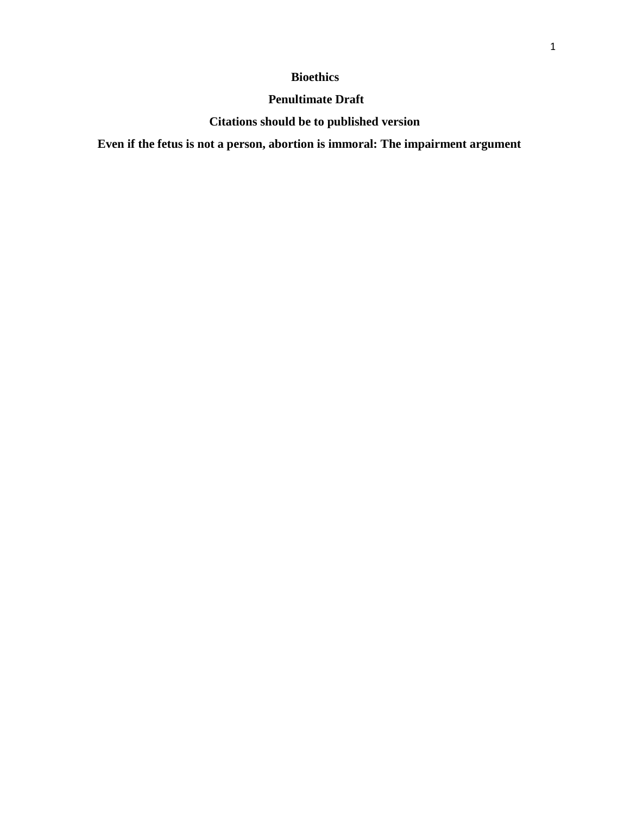## **Bioethics**

## **Penultimate Draft**

# **Citations should be to published version**

**Even if the fetus is not a person, abortion is immoral: The impairment argument**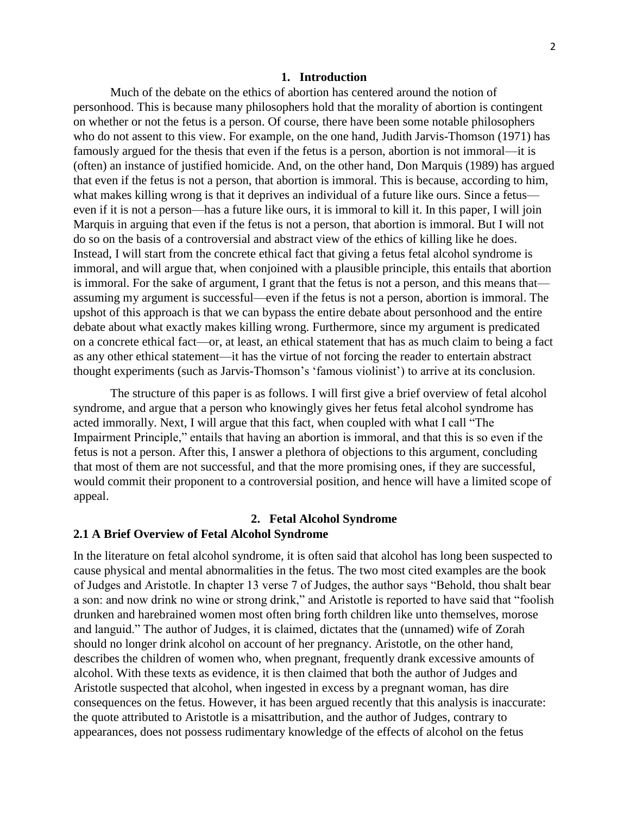#### **1. Introduction**

Much of the debate on the ethics of abortion has centered around the notion of personhood. This is because many philosophers hold that the morality of abortion is contingent on whether or not the fetus is a person. Of course, there have been some notable philosophers who do not assent to this view. For example, on the one hand, Judith Jarvis-Thomson (1971) has famously argued for the thesis that even if the fetus is a person, abortion is not immoral—it is (often) an instance of justified homicide. And, on the other hand, Don Marquis (1989) has argued that even if the fetus is not a person, that abortion is immoral. This is because, according to him, what makes killing wrong is that it deprives an individual of a future like ours. Since a fetus even if it is not a person—has a future like ours, it is immoral to kill it. In this paper, I will join Marquis in arguing that even if the fetus is not a person, that abortion is immoral. But I will not do so on the basis of a controversial and abstract view of the ethics of killing like he does. Instead, I will start from the concrete ethical fact that giving a fetus fetal alcohol syndrome is immoral, and will argue that, when conjoined with a plausible principle, this entails that abortion is immoral. For the sake of argument, I grant that the fetus is not a person, and this means that assuming my argument is successful—even if the fetus is not a person, abortion is immoral. The upshot of this approach is that we can bypass the entire debate about personhood and the entire debate about what exactly makes killing wrong. Furthermore, since my argument is predicated on a concrete ethical fact—or, at least, an ethical statement that has as much claim to being a fact as any other ethical statement—it has the virtue of not forcing the reader to entertain abstract thought experiments (such as Jarvis-Thomson's 'famous violinist') to arrive at its conclusion.

The structure of this paper is as follows. I will first give a brief overview of fetal alcohol syndrome, and argue that a person who knowingly gives her fetus fetal alcohol syndrome has acted immorally. Next, I will argue that this fact, when coupled with what I call "The Impairment Principle," entails that having an abortion is immoral, and that this is so even if the fetus is not a person. After this, I answer a plethora of objections to this argument, concluding that most of them are not successful, and that the more promising ones, if they are successful, would commit their proponent to a controversial position, and hence will have a limited scope of appeal.

#### **2. Fetal Alcohol Syndrome**

### **2.1 A Brief Overview of Fetal Alcohol Syndrome**

In the literature on fetal alcohol syndrome, it is often said that alcohol has long been suspected to cause physical and mental abnormalities in the fetus. The two most cited examples are the book of Judges and Aristotle. In chapter 13 verse 7 of Judges, the author says "Behold, thou shalt bear a son: and now drink no wine or strong drink," and Aristotle is reported to have said that "foolish drunken and harebrained women most often bring forth children like unto themselves, morose and languid." The author of Judges, it is claimed, dictates that the (unnamed) wife of Zorah should no longer drink alcohol on account of her pregnancy. Aristotle, on the other hand, describes the children of women who, when pregnant, frequently drank excessive amounts of alcohol. With these texts as evidence, it is then claimed that both the author of Judges and Aristotle suspected that alcohol, when ingested in excess by a pregnant woman, has dire consequences on the fetus. However, it has been argued recently that this analysis is inaccurate: the quote attributed to Aristotle is a misattribution, and the author of Judges, contrary to appearances, does not possess rudimentary knowledge of the effects of alcohol on the fetus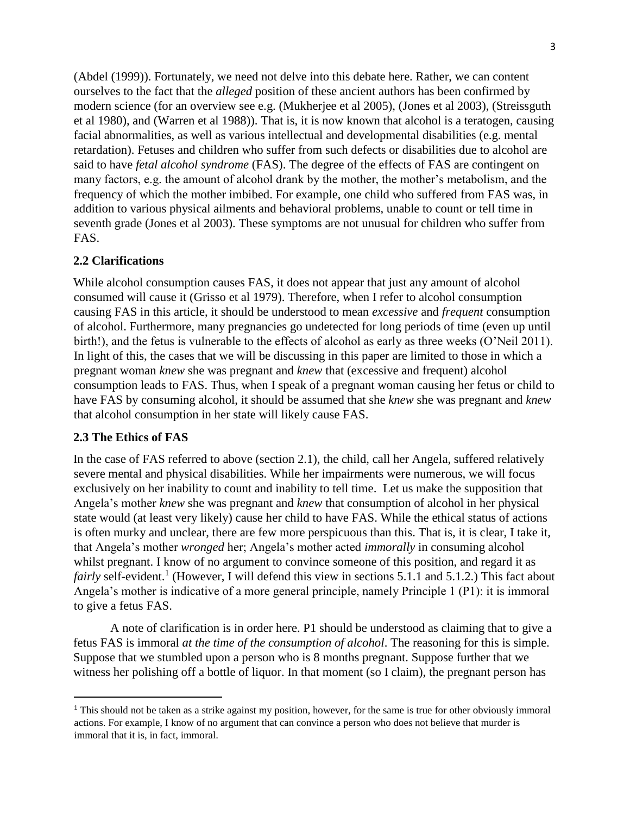(Abdel (1999)). Fortunately, we need not delve into this debate here. Rather, we can content ourselves to the fact that the *alleged* position of these ancient authors has been confirmed by modern science (for an overview see e.g. (Mukherjee et al 2005), (Jones et al 2003), (Streissguth et al 1980), and (Warren et al 1988)). That is, it is now known that alcohol is a teratogen, causing facial abnormalities, as well as various intellectual and developmental disabilities (e.g. mental retardation). Fetuses and children who suffer from such defects or disabilities due to alcohol are said to have *fetal alcohol syndrome* (FAS). The degree of the effects of FAS are contingent on many factors, e.g. the amount of alcohol drank by the mother, the mother's metabolism, and the frequency of which the mother imbibed. For example, one child who suffered from FAS was, in addition to various physical ailments and behavioral problems, unable to count or tell time in seventh grade (Jones et al 2003). These symptoms are not unusual for children who suffer from FAS.

### **2.2 Clarifications**

While alcohol consumption causes FAS, it does not appear that just any amount of alcohol consumed will cause it (Grisso et al 1979). Therefore, when I refer to alcohol consumption causing FAS in this article, it should be understood to mean *excessive* and *frequent* consumption of alcohol. Furthermore, many pregnancies go undetected for long periods of time (even up until birth!), and the fetus is vulnerable to the effects of alcohol as early as three weeks (O'Neil 2011). In light of this, the cases that we will be discussing in this paper are limited to those in which a pregnant woman *knew* she was pregnant and *knew* that (excessive and frequent) alcohol consumption leads to FAS. Thus, when I speak of a pregnant woman causing her fetus or child to have FAS by consuming alcohol, it should be assumed that she *knew* she was pregnant and *knew*  that alcohol consumption in her state will likely cause FAS.

### **2.3 The Ethics of FAS**

 $\overline{a}$ 

In the case of FAS referred to above (section 2.1), the child, call her Angela, suffered relatively severe mental and physical disabilities. While her impairments were numerous, we will focus exclusively on her inability to count and inability to tell time. Let us make the supposition that Angela's mother *knew* she was pregnant and *knew* that consumption of alcohol in her physical state would (at least very likely) cause her child to have FAS. While the ethical status of actions is often murky and unclear, there are few more perspicuous than this. That is, it is clear, I take it, that Angela's mother *wronged* her; Angela's mother acted *immorally* in consuming alcohol whilst pregnant. I know of no argument to convince someone of this position, and regard it as fairly self-evident.<sup>1</sup> (However, I will defend this view in sections 5.1.1 and 5.1.2.) This fact about Angela's mother is indicative of a more general principle, namely Principle 1 (P1): it is immoral to give a fetus FAS.

A note of clarification is in order here. P1 should be understood as claiming that to give a fetus FAS is immoral *at the time of the consumption of alcohol*. The reasoning for this is simple. Suppose that we stumbled upon a person who is 8 months pregnant. Suppose further that we witness her polishing off a bottle of liquor. In that moment (so I claim), the pregnant person has

<sup>&</sup>lt;sup>1</sup> This should not be taken as a strike against my position, however, for the same is true for other obviously immoral actions. For example, I know of no argument that can convince a person who does not believe that murder is immoral that it is, in fact, immoral.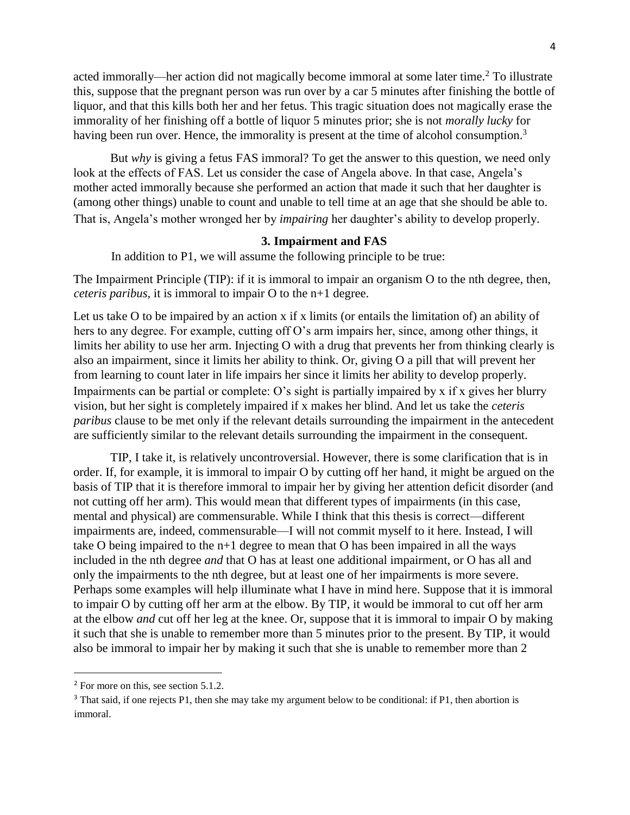acted immorally—her action did not magically become immoral at some later time.<sup>2</sup> To illustrate this, suppose that the pregnant person was run over by a car 5 minutes after finishing the bottle of liquor, and that this kills both her and her fetus. This tragic situation does not magically erase the immorality of her finishing off a bottle of liquor 5 minutes prior; she is not *morally lucky* for having been run over. Hence, the immorality is present at the time of alcohol consumption.<sup>3</sup>

But *why* is giving a fetus FAS immoral? To get the answer to this question, we need only look at the effects of FAS. Let us consider the case of Angela above. In that case, Angela's mother acted immorally because she performed an action that made it such that her daughter is (among other things) unable to count and unable to tell time at an age that she should be able to. That is, Angela's mother wronged her by *impairing* her daughter's ability to develop properly.

### **3. Impairment and FAS**

In addition to P1, we will assume the following principle to be true:

The Impairment Principle (TIP): if it is immoral to impair an organism O to the nth degree, then, *ceteris paribus,* it is immoral to impair O to the n+1 degree.

Let us take O to be impaired by an action x if x limits (or entails the limitation of) an ability of hers to any degree. For example, cutting off O's arm impairs her, since, among other things, it limits her ability to use her arm. Injecting O with a drug that prevents her from thinking clearly is also an impairment, since it limits her ability to think. Or, giving O a pill that will prevent her from learning to count later in life impairs her since it limits her ability to develop properly. Impairments can be partial or complete: O's sight is partially impaired by x if x gives her blurry vision, but her sight is completely impaired if x makes her blind. And let us take the *ceteris paribus* clause to be met only if the relevant details surrounding the impairment in the antecedent are sufficiently similar to the relevant details surrounding the impairment in the consequent.

TIP, I take it, is relatively uncontroversial. However, there is some clarification that is in order. If, for example, it is immoral to impair O by cutting off her hand, it might be argued on the basis of TIP that it is therefore immoral to impair her by giving her attention deficit disorder (and not cutting off her arm). This would mean that different types of impairments (in this case, mental and physical) are commensurable. While I think that this thesis is correct—different impairments are, indeed, commensurable—I will not commit myself to it here. Instead, I will take O being impaired to the n+1 degree to mean that O has been impaired in all the ways included in the nth degree *and* that O has at least one additional impairment, or O has all and only the impairments to the nth degree, but at least one of her impairments is more severe. Perhaps some examples will help illuminate what I have in mind here. Suppose that it is immoral to impair O by cutting off her arm at the elbow. By TIP, it would be immoral to cut off her arm at the elbow *and* cut off her leg at the knee. Or, suppose that it is immoral to impair O by making it such that she is unable to remember more than 5 minutes prior to the present. By TIP, it would also be immoral to impair her by making it such that she is unable to remember more than 2

<sup>2</sup> For more on this, see section 5.1.2.

<sup>&</sup>lt;sup>3</sup> That said, if one rejects P1, then she may take my argument below to be conditional: if P1, then abortion is immoral.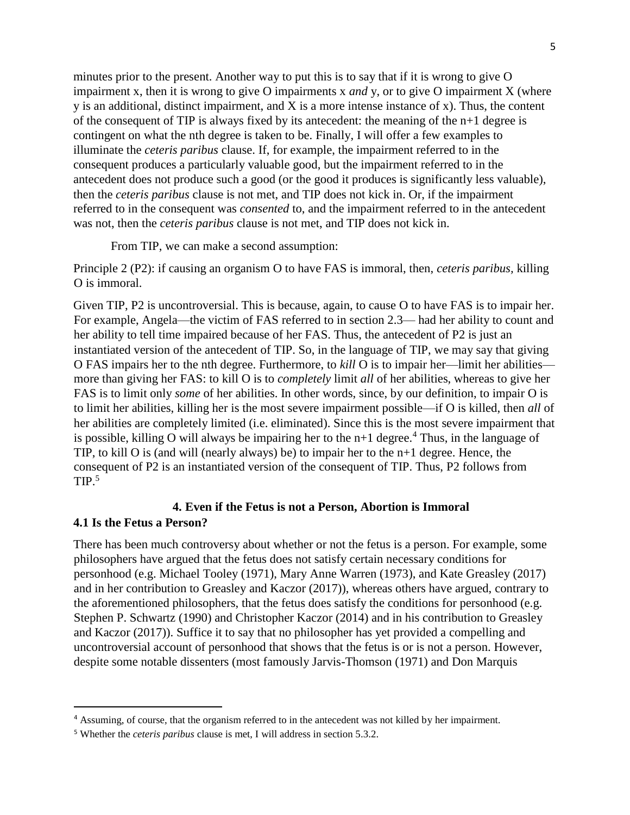minutes prior to the present. Another way to put this is to say that if it is wrong to give O impairment x, then it is wrong to give O impairments x *and* y, or to give O impairment X (where y is an additional, distinct impairment, and X is a more intense instance of x). Thus, the content of the consequent of TIP is always fixed by its antecedent: the meaning of the n+1 degree is contingent on what the nth degree is taken to be. Finally, I will offer a few examples to illuminate the *ceteris paribus* clause. If, for example, the impairment referred to in the consequent produces a particularly valuable good, but the impairment referred to in the antecedent does not produce such a good (or the good it produces is significantly less valuable), then the *ceteris paribus* clause is not met, and TIP does not kick in. Or, if the impairment referred to in the consequent was *consented* to, and the impairment referred to in the antecedent was not, then the *ceteris paribus* clause is not met, and TIP does not kick in.

From TIP, we can make a second assumption:

Principle 2 (P2): if causing an organism O to have FAS is immoral, then, *ceteris paribus,* killing O is immoral.

Given TIP, P2 is uncontroversial. This is because, again, to cause O to have FAS is to impair her. For example, Angela—the victim of FAS referred to in section 2.3— had her ability to count and her ability to tell time impaired because of her FAS. Thus, the antecedent of P2 is just an instantiated version of the antecedent of TIP. So, in the language of TIP, we may say that giving O FAS impairs her to the nth degree. Furthermore, to *kill* O is to impair her—limit her abilities more than giving her FAS: to kill O is to *completely* limit *all* of her abilities, whereas to give her FAS is to limit only *some* of her abilities. In other words, since, by our definition, to impair O is to limit her abilities, killing her is the most severe impairment possible—if O is killed, then *all* of her abilities are completely limited (i.e. eliminated). Since this is the most severe impairment that is possible, killing O will always be impairing her to the  $n+1$  degree.<sup>4</sup> Thus, in the language of TIP, to kill O is (and will (nearly always) be) to impair her to the n+1 degree. Hence, the consequent of P2 is an instantiated version of the consequent of TIP. Thus, P2 follows from  $TIP.<sup>5</sup>$ 

## **4. Even if the Fetus is not a Person, Abortion is Immoral 4.1 Is the Fetus a Person?**

There has been much controversy about whether or not the fetus is a person. For example, some philosophers have argued that the fetus does not satisfy certain necessary conditions for personhood (e.g. Michael Tooley (1971), Mary Anne Warren (1973), and Kate Greasley (2017) and in her contribution to Greasley and Kaczor (2017)), whereas others have argued, contrary to the aforementioned philosophers, that the fetus does satisfy the conditions for personhood (e.g. Stephen P. Schwartz (1990) and Christopher Kaczor (2014) and in his contribution to Greasley and Kaczor (2017)). Suffice it to say that no philosopher has yet provided a compelling and uncontroversial account of personhood that shows that the fetus is or is not a person. However, despite some notable dissenters (most famously Jarvis-Thomson (1971) and Don Marquis

<sup>4</sup> Assuming, of course, that the organism referred to in the antecedent was not killed by her impairment.

<sup>5</sup> Whether the *ceteris paribus* clause is met, I will address in section 5.3.2.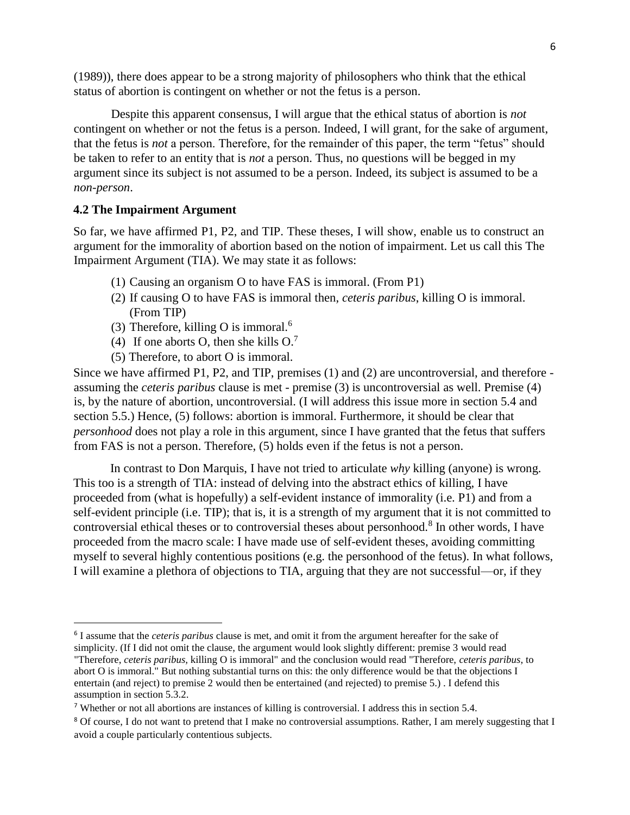(1989)), there does appear to be a strong majority of philosophers who think that the ethical status of abortion is contingent on whether or not the fetus is a person.

Despite this apparent consensus, I will argue that the ethical status of abortion is *not*  contingent on whether or not the fetus is a person. Indeed, I will grant, for the sake of argument, that the fetus is *not* a person. Therefore, for the remainder of this paper, the term "fetus" should be taken to refer to an entity that is *not* a person. Thus, no questions will be begged in my argument since its subject is not assumed to be a person. Indeed, its subject is assumed to be a *non-person*.

### **4.2 The Impairment Argument**

 $\overline{a}$ 

So far, we have affirmed P1, P2, and TIP. These theses, I will show, enable us to construct an argument for the immorality of abortion based on the notion of impairment. Let us call this The Impairment Argument (TIA). We may state it as follows:

- (1) Causing an organism O to have FAS is immoral. (From P1)
- (2) If causing O to have FAS is immoral then, *ceteris paribus*, killing O is immoral. (From TIP)
- (3) Therefore, killing O is immoral. $6$
- (4) If one aborts O, then she kills  $O<sup>7</sup>$
- (5) Therefore, to abort O is immoral.

Since we have affirmed P1, P2, and TIP, premises (1) and (2) are uncontroversial, and therefore assuming the *ceteris paribus* clause is met - premise (3) is uncontroversial as well. Premise (4) is, by the nature of abortion, uncontroversial. (I will address this issue more in section 5.4 and section 5.5.) Hence, (5) follows: abortion is immoral. Furthermore, it should be clear that *personhood* does not play a role in this argument, since I have granted that the fetus that suffers from FAS is not a person. Therefore, (5) holds even if the fetus is not a person.

In contrast to Don Marquis, I have not tried to articulate *why* killing (anyone) is wrong. This too is a strength of TIA: instead of delving into the abstract ethics of killing, I have proceeded from (what is hopefully) a self-evident instance of immorality (i.e. P1) and from a self-evident principle (i.e. TIP); that is, it is a strength of my argument that it is not committed to controversial ethical theses or to controversial theses about personhood.<sup>8</sup> In other words, I have proceeded from the macro scale: I have made use of self-evident theses, avoiding committing myself to several highly contentious positions (e.g. the personhood of the fetus). In what follows, I will examine a plethora of objections to TIA, arguing that they are not successful—or, if they

<sup>6</sup> I assume that the *ceteris paribus* clause is met, and omit it from the argument hereafter for the sake of simplicity. (If I did not omit the clause, the argument would look slightly different: premise 3 would read "Therefore, *ceteris paribus,* killing O is immoral" and the conclusion would read "Therefore, *ceteris paribus*, to abort O is immoral." But nothing substantial turns on this: the only difference would be that the objections I entertain (and reject) to premise 2 would then be entertained (and rejected) to premise 5.) . I defend this assumption in section 5.3.2.

<sup>7</sup> Whether or not all abortions are instances of killing is controversial. I address this in section 5.4.

<sup>8</sup> Of course, I do not want to pretend that I make no controversial assumptions. Rather, I am merely suggesting that I avoid a couple particularly contentious subjects.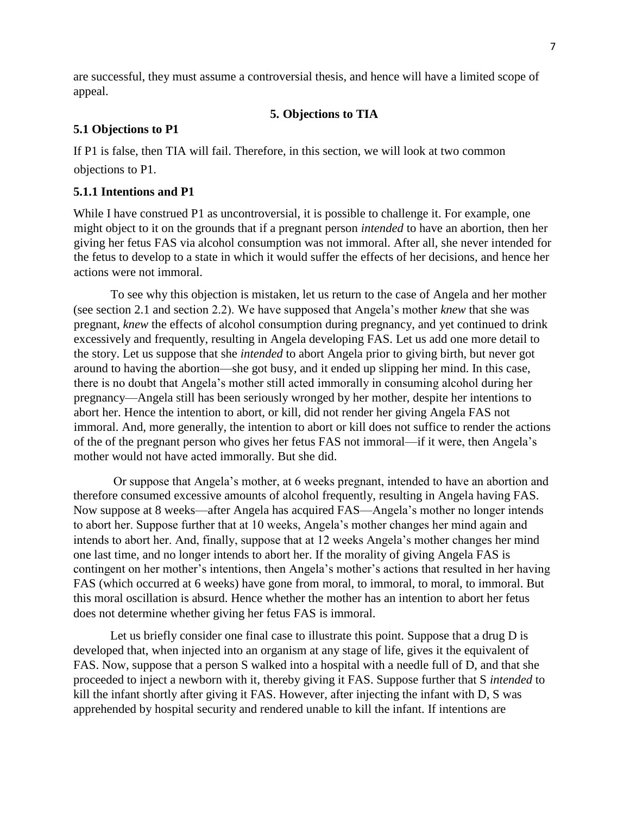are successful, they must assume a controversial thesis, and hence will have a limited scope of appeal.

### **5. Objections to TIA**

### **5.1 Objections to P1**

If P1 is false, then TIA will fail. Therefore, in this section, we will look at two common objections to P1.

### **5.1.1 Intentions and P1**

While I have construed P1 as uncontroversial, it is possible to challenge it. For example, one might object to it on the grounds that if a pregnant person *intended* to have an abortion, then her giving her fetus FAS via alcohol consumption was not immoral. After all, she never intended for the fetus to develop to a state in which it would suffer the effects of her decisions, and hence her actions were not immoral.

To see why this objection is mistaken, let us return to the case of Angela and her mother (see section 2.1 and section 2.2). We have supposed that Angela's mother *knew* that she was pregnant, *knew* the effects of alcohol consumption during pregnancy, and yet continued to drink excessively and frequently, resulting in Angela developing FAS. Let us add one more detail to the story. Let us suppose that she *intended* to abort Angela prior to giving birth, but never got around to having the abortion—she got busy, and it ended up slipping her mind. In this case, there is no doubt that Angela's mother still acted immorally in consuming alcohol during her pregnancy—Angela still has been seriously wronged by her mother, despite her intentions to abort her. Hence the intention to abort, or kill, did not render her giving Angela FAS not immoral. And, more generally, the intention to abort or kill does not suffice to render the actions of the of the pregnant person who gives her fetus FAS not immoral—if it were, then Angela's mother would not have acted immorally. But she did.

Or suppose that Angela's mother, at 6 weeks pregnant, intended to have an abortion and therefore consumed excessive amounts of alcohol frequently, resulting in Angela having FAS. Now suppose at 8 weeks—after Angela has acquired FAS—Angela's mother no longer intends to abort her. Suppose further that at 10 weeks, Angela's mother changes her mind again and intends to abort her. And, finally, suppose that at 12 weeks Angela's mother changes her mind one last time, and no longer intends to abort her. If the morality of giving Angela FAS is contingent on her mother's intentions, then Angela's mother's actions that resulted in her having FAS (which occurred at 6 weeks) have gone from moral, to immoral, to moral, to immoral. But this moral oscillation is absurd. Hence whether the mother has an intention to abort her fetus does not determine whether giving her fetus FAS is immoral.

Let us briefly consider one final case to illustrate this point. Suppose that a drug D is developed that, when injected into an organism at any stage of life, gives it the equivalent of FAS. Now, suppose that a person S walked into a hospital with a needle full of D, and that she proceeded to inject a newborn with it, thereby giving it FAS. Suppose further that S *intended* to kill the infant shortly after giving it FAS. However, after injecting the infant with D, S was apprehended by hospital security and rendered unable to kill the infant. If intentions are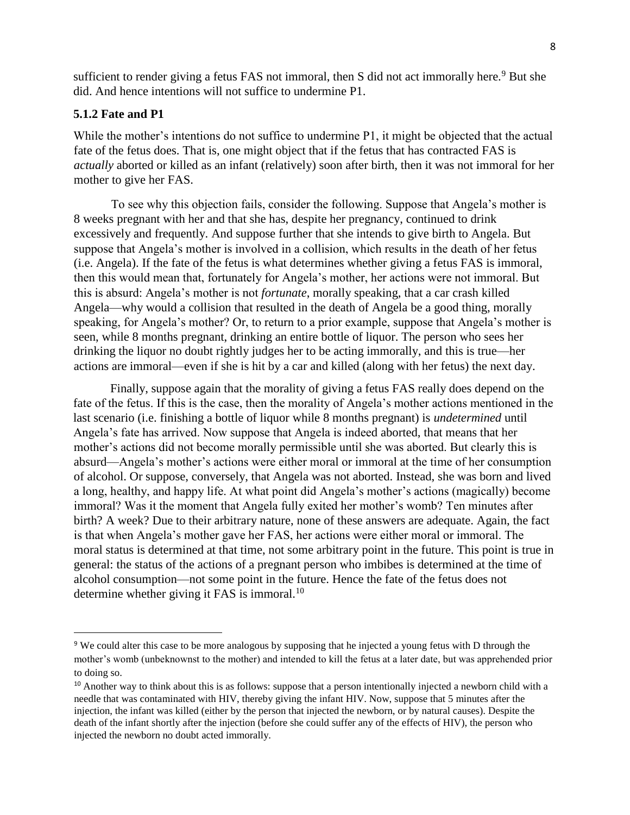sufficient to render giving a fetus FAS not immoral, then S did not act immorally here.<sup>9</sup> But she did. And hence intentions will not suffice to undermine P1.

### **5.1.2 Fate and P1**

 $\overline{a}$ 

While the mother's intentions do not suffice to undermine P1, it might be objected that the actual fate of the fetus does. That is, one might object that if the fetus that has contracted FAS is *actually* aborted or killed as an infant (relatively) soon after birth, then it was not immoral for her mother to give her FAS.

To see why this objection fails, consider the following. Suppose that Angela's mother is 8 weeks pregnant with her and that she has, despite her pregnancy, continued to drink excessively and frequently. And suppose further that she intends to give birth to Angela. But suppose that Angela's mother is involved in a collision, which results in the death of her fetus (i.e. Angela). If the fate of the fetus is what determines whether giving a fetus FAS is immoral, then this would mean that, fortunately for Angela's mother, her actions were not immoral. But this is absurd: Angela's mother is not *fortunate*, morally speaking, that a car crash killed Angela—why would a collision that resulted in the death of Angela be a good thing, morally speaking, for Angela's mother? Or, to return to a prior example, suppose that Angela's mother is seen, while 8 months pregnant, drinking an entire bottle of liquor. The person who sees her drinking the liquor no doubt rightly judges her to be acting immorally, and this is true—her actions are immoral—even if she is hit by a car and killed (along with her fetus) the next day.

Finally, suppose again that the morality of giving a fetus FAS really does depend on the fate of the fetus. If this is the case, then the morality of Angela's mother actions mentioned in the last scenario (i.e. finishing a bottle of liquor while 8 months pregnant) is *undetermined* until Angela's fate has arrived. Now suppose that Angela is indeed aborted, that means that her mother's actions did not become morally permissible until she was aborted. But clearly this is absurd—Angela's mother's actions were either moral or immoral at the time of her consumption of alcohol. Or suppose, conversely, that Angela was not aborted. Instead, she was born and lived a long, healthy, and happy life. At what point did Angela's mother's actions (magically) become immoral? Was it the moment that Angela fully exited her mother's womb? Ten minutes after birth? A week? Due to their arbitrary nature, none of these answers are adequate. Again, the fact is that when Angela's mother gave her FAS, her actions were either moral or immoral. The moral status is determined at that time, not some arbitrary point in the future. This point is true in general: the status of the actions of a pregnant person who imbibes is determined at the time of alcohol consumption—not some point in the future. Hence the fate of the fetus does not determine whether giving it FAS is immoral.<sup>10</sup>

<sup>9</sup> We could alter this case to be more analogous by supposing that he injected a young fetus with D through the mother's womb (unbeknownst to the mother) and intended to kill the fetus at a later date, but was apprehended prior to doing so.

<sup>&</sup>lt;sup>10</sup> Another way to think about this is as follows: suppose that a person intentionally injected a newborn child with a needle that was contaminated with HIV, thereby giving the infant HIV. Now, suppose that 5 minutes after the injection, the infant was killed (either by the person that injected the newborn, or by natural causes). Despite the death of the infant shortly after the injection (before she could suffer any of the effects of HIV), the person who injected the newborn no doubt acted immorally.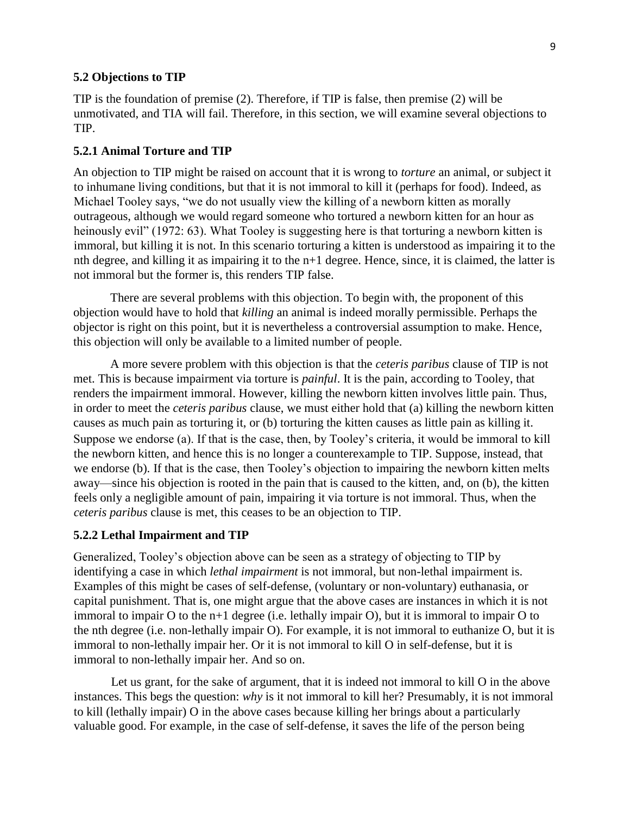#### **5.2 Objections to TIP**

TIP is the foundation of premise (2). Therefore, if TIP is false, then premise (2) will be unmotivated, and TIA will fail. Therefore, in this section, we will examine several objections to TIP.

#### **5.2.1 Animal Torture and TIP**

An objection to TIP might be raised on account that it is wrong to *torture* an animal, or subject it to inhumane living conditions, but that it is not immoral to kill it (perhaps for food). Indeed, as Michael Tooley says, "we do not usually view the killing of a newborn kitten as morally outrageous, although we would regard someone who tortured a newborn kitten for an hour as heinously evil" (1972: 63). What Tooley is suggesting here is that torturing a newborn kitten is immoral, but killing it is not. In this scenario torturing a kitten is understood as impairing it to the nth degree, and killing it as impairing it to the n+1 degree. Hence, since, it is claimed, the latter is not immoral but the former is, this renders TIP false.

There are several problems with this objection. To begin with, the proponent of this objection would have to hold that *killing* an animal is indeed morally permissible. Perhaps the objector is right on this point, but it is nevertheless a controversial assumption to make. Hence, this objection will only be available to a limited number of people.

A more severe problem with this objection is that the *ceteris paribus* clause of TIP is not met. This is because impairment via torture is *painful*. It is the pain, according to Tooley, that renders the impairment immoral. However, killing the newborn kitten involves little pain. Thus, in order to meet the *ceteris paribus* clause, we must either hold that (a) killing the newborn kitten causes as much pain as torturing it, or (b) torturing the kitten causes as little pain as killing it. Suppose we endorse (a). If that is the case, then, by Tooley's criteria, it would be immoral to kill the newborn kitten, and hence this is no longer a counterexample to TIP. Suppose, instead, that we endorse (b). If that is the case, then Tooley's objection to impairing the newborn kitten melts away—since his objection is rooted in the pain that is caused to the kitten, and, on (b), the kitten feels only a negligible amount of pain, impairing it via torture is not immoral. Thus, when the *ceteris paribus* clause is met, this ceases to be an objection to TIP.

#### **5.2.2 Lethal Impairment and TIP**

Generalized, Tooley's objection above can be seen as a strategy of objecting to TIP by identifying a case in which *lethal impairment* is not immoral, but non-lethal impairment is. Examples of this might be cases of self-defense, (voluntary or non-voluntary) euthanasia, or capital punishment. That is, one might argue that the above cases are instances in which it is not immoral to impair O to the n+1 degree (i.e. lethally impair O), but it is immoral to impair O to the nth degree (i.e. non-lethally impair O). For example, it is not immoral to euthanize O, but it is immoral to non-lethally impair her. Or it is not immoral to kill O in self-defense, but it is immoral to non-lethally impair her. And so on.

Let us grant, for the sake of argument, that it is indeed not immoral to kill O in the above instances. This begs the question: *why* is it not immoral to kill her? Presumably, it is not immoral to kill (lethally impair) O in the above cases because killing her brings about a particularly valuable good. For example, in the case of self-defense, it saves the life of the person being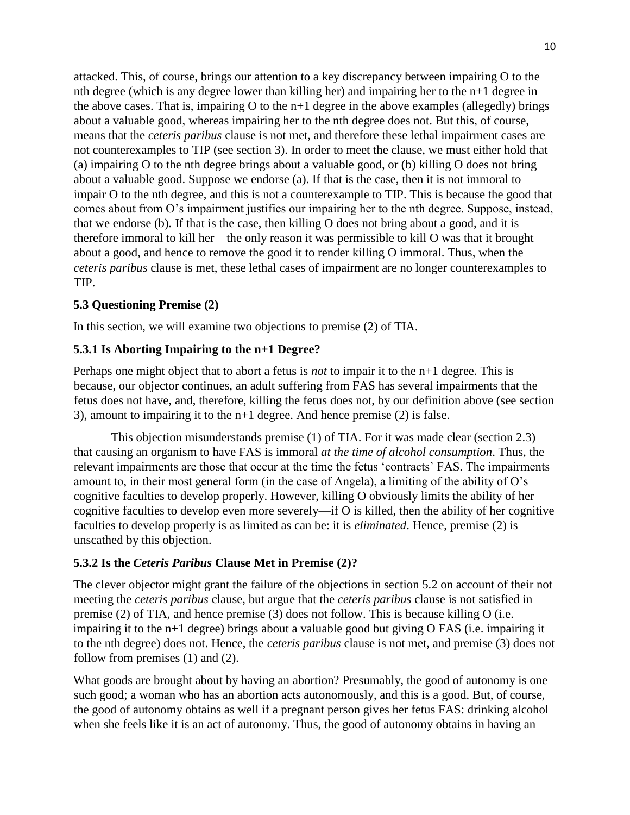attacked. This, of course, brings our attention to a key discrepancy between impairing O to the nth degree (which is any degree lower than killing her) and impairing her to the n+1 degree in the above cases. That is, impairing O to the n+1 degree in the above examples (allegedly) brings about a valuable good, whereas impairing her to the nth degree does not. But this, of course, means that the *ceteris paribus* clause is not met, and therefore these lethal impairment cases are not counterexamples to TIP (see section 3). In order to meet the clause, we must either hold that (a) impairing O to the nth degree brings about a valuable good, or (b) killing O does not bring about a valuable good. Suppose we endorse (a). If that is the case, then it is not immoral to impair O to the nth degree, and this is not a counterexample to TIP. This is because the good that comes about from O's impairment justifies our impairing her to the nth degree. Suppose, instead, that we endorse (b). If that is the case, then killing O does not bring about a good, and it is therefore immoral to kill her—the only reason it was permissible to kill O was that it brought about a good, and hence to remove the good it to render killing O immoral. Thus, when the *ceteris paribus* clause is met, these lethal cases of impairment are no longer counterexamples to TIP.

## **5.3 Questioning Premise (2)**

In this section, we will examine two objections to premise (2) of TIA.

## **5.3.1 Is Aborting Impairing to the n+1 Degree?**

Perhaps one might object that to abort a fetus is *not* to impair it to the n+1 degree. This is because, our objector continues, an adult suffering from FAS has several impairments that the fetus does not have, and, therefore, killing the fetus does not, by our definition above (see section 3), amount to impairing it to the n+1 degree. And hence premise (2) is false.

This objection misunderstands premise (1) of TIA. For it was made clear (section 2.3) that causing an organism to have FAS is immoral *at the time of alcohol consumption*. Thus, the relevant impairments are those that occur at the time the fetus 'contracts' FAS. The impairments amount to, in their most general form (in the case of Angela), a limiting of the ability of O's cognitive faculties to develop properly. However, killing O obviously limits the ability of her cognitive faculties to develop even more severely—if O is killed, then the ability of her cognitive faculties to develop properly is as limited as can be: it is *eliminated*. Hence, premise (2) is unscathed by this objection.

## **5.3.2 Is the** *Ceteris Paribus* **Clause Met in Premise (2)?**

The clever objector might grant the failure of the objections in section 5.2 on account of their not meeting the *ceteris paribus* clause, but argue that the *ceteris paribus* clause is not satisfied in premise (2) of TIA, and hence premise (3) does not follow. This is because killing O (i.e. impairing it to the n+1 degree) brings about a valuable good but giving O FAS (i.e. impairing it to the nth degree) does not. Hence, the *ceteris paribus* clause is not met, and premise (3) does not follow from premises (1) and (2).

What goods are brought about by having an abortion? Presumably, the good of autonomy is one such good; a woman who has an abortion acts autonomously, and this is a good. But, of course, the good of autonomy obtains as well if a pregnant person gives her fetus FAS: drinking alcohol when she feels like it is an act of autonomy. Thus, the good of autonomy obtains in having an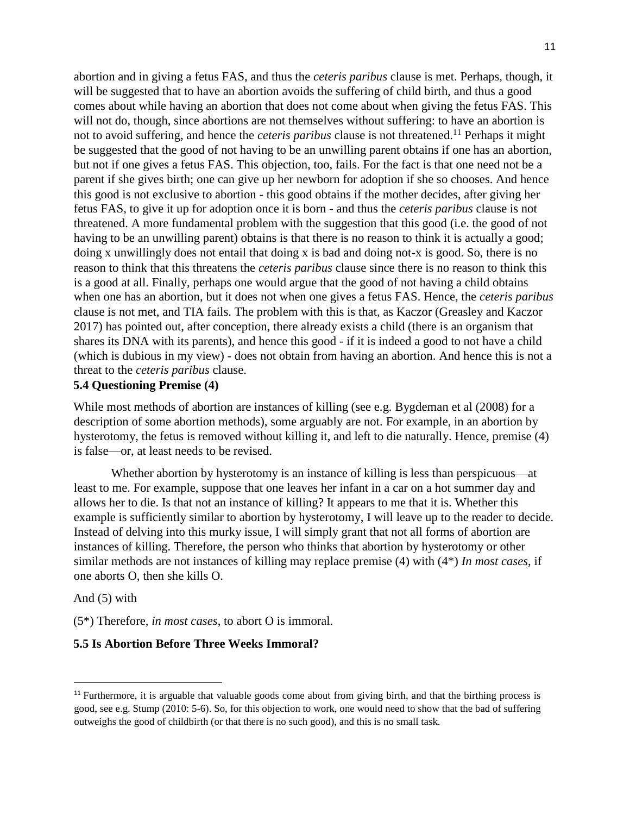abortion and in giving a fetus FAS, and thus the *ceteris paribus* clause is met. Perhaps, though, it will be suggested that to have an abortion avoids the suffering of child birth, and thus a good comes about while having an abortion that does not come about when giving the fetus FAS. This will not do, though, since abortions are not themselves without suffering: to have an abortion is not to avoid suffering, and hence the *ceteris paribus* clause is not threatened.<sup>11</sup> Perhaps it might be suggested that the good of not having to be an unwilling parent obtains if one has an abortion, but not if one gives a fetus FAS. This objection, too, fails. For the fact is that one need not be a parent if she gives birth; one can give up her newborn for adoption if she so chooses. And hence this good is not exclusive to abortion - this good obtains if the mother decides, after giving her fetus FAS, to give it up for adoption once it is born - and thus the *ceteris paribus* clause is not threatened. A more fundamental problem with the suggestion that this good (i.e. the good of not having to be an unwilling parent) obtains is that there is no reason to think it is actually a good; doing x unwillingly does not entail that doing x is bad and doing not-x is good. So, there is no reason to think that this threatens the *ceteris paribus* clause since there is no reason to think this is a good at all. Finally, perhaps one would argue that the good of not having a child obtains when one has an abortion, but it does not when one gives a fetus FAS. Hence, the *ceteris paribus*  clause is not met, and TIA fails. The problem with this is that, as Kaczor (Greasley and Kaczor 2017) has pointed out, after conception, there already exists a child (there is an organism that shares its DNA with its parents), and hence this good - if it is indeed a good to not have a child (which is dubious in my view) - does not obtain from having an abortion. And hence this is not a threat to the *ceteris paribus* clause.

## **5.4 Questioning Premise (4)**

While most methods of abortion are instances of killing (see e.g. Bygdeman et al (2008) for a description of some abortion methods), some arguably are not. For example, in an abortion by hysterotomy, the fetus is removed without killing it, and left to die naturally. Hence, premise (4) is false—or, at least needs to be revised.

Whether abortion by hysterotomy is an instance of killing is less than perspicuous—at least to me. For example, suppose that one leaves her infant in a car on a hot summer day and allows her to die. Is that not an instance of killing? It appears to me that it is. Whether this example is sufficiently similar to abortion by hysterotomy, I will leave up to the reader to decide. Instead of delving into this murky issue, I will simply grant that not all forms of abortion are instances of killing. Therefore, the person who thinks that abortion by hysterotomy or other similar methods are not instances of killing may replace premise (4) with (4\*) *In most cases*, if one aborts O, then she kills O.

#### And (5) with

 $\overline{a}$ 

(5\*) Therefore, *in most cases*, to abort O is immoral.

### **5.5 Is Abortion Before Three Weeks Immoral?**

<sup>&</sup>lt;sup>11</sup> Furthermore, it is arguable that valuable goods come about from giving birth, and that the birthing process is good, see e.g. Stump (2010: 5-6). So, for this objection to work, one would need to show that the bad of suffering outweighs the good of childbirth (or that there is no such good), and this is no small task.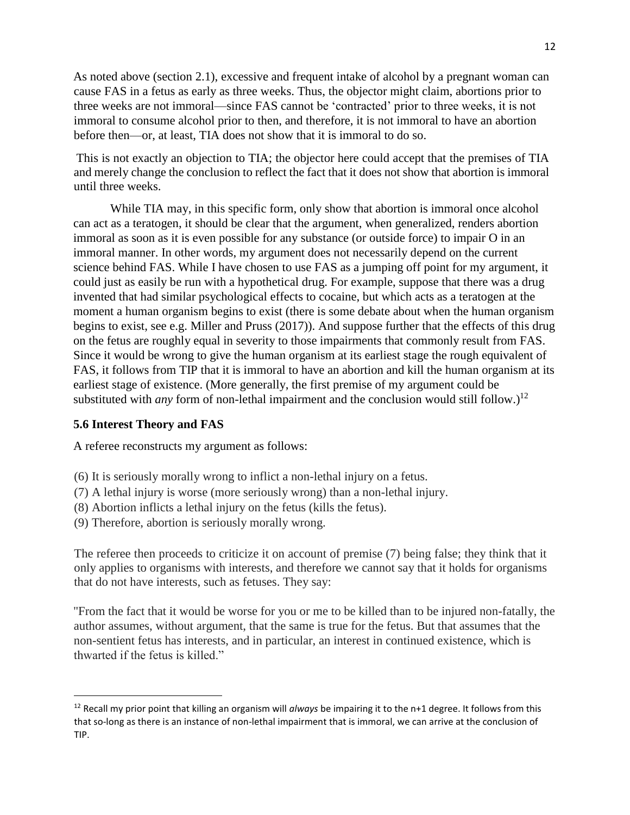As noted above (section 2.1), excessive and frequent intake of alcohol by a pregnant woman can cause FAS in a fetus as early as three weeks. Thus, the objector might claim, abortions prior to three weeks are not immoral—since FAS cannot be 'contracted' prior to three weeks, it is not immoral to consume alcohol prior to then, and therefore, it is not immoral to have an abortion before then—or, at least, TIA does not show that it is immoral to do so.

This is not exactly an objection to TIA; the objector here could accept that the premises of TIA and merely change the conclusion to reflect the fact that it does not show that abortion is immoral until three weeks.

While TIA may, in this specific form, only show that abortion is immoral once alcohol can act as a teratogen, it should be clear that the argument, when generalized, renders abortion immoral as soon as it is even possible for any substance (or outside force) to impair O in an immoral manner. In other words, my argument does not necessarily depend on the current science behind FAS. While I have chosen to use FAS as a jumping off point for my argument, it could just as easily be run with a hypothetical drug. For example, suppose that there was a drug invented that had similar psychological effects to cocaine, but which acts as a teratogen at the moment a human organism begins to exist (there is some debate about when the human organism begins to exist, see e.g. Miller and Pruss (2017)). And suppose further that the effects of this drug on the fetus are roughly equal in severity to those impairments that commonly result from FAS. Since it would be wrong to give the human organism at its earliest stage the rough equivalent of FAS, it follows from TIP that it is immoral to have an abortion and kill the human organism at its earliest stage of existence. (More generally, the first premise of my argument could be substituted with *any* form of non-lethal impairment and the conclusion would still follow.)<sup>12</sup>

## **5.6 Interest Theory and FAS**

 $\overline{a}$ 

A referee reconstructs my argument as follows:

- (6) It is seriously morally wrong to inflict a non-lethal injury on a fetus.
- (7) A lethal injury is worse (more seriously wrong) than a non-lethal injury.
- (8) Abortion inflicts a lethal injury on the fetus (kills the fetus).
- (9) Therefore, abortion is seriously morally wrong.

The referee then proceeds to criticize it on account of premise (7) being false; they think that it only applies to organisms with interests, and therefore we cannot say that it holds for organisms that do not have interests, such as fetuses. They say:

"From the fact that it would be worse for you or me to be killed than to be injured non-fatally, the author assumes, without argument, that the same is true for the fetus. But that assumes that the non-sentient fetus has interests, and in particular, an interest in continued existence, which is thwarted if the fetus is killed."

<sup>12</sup> Recall my prior point that killing an organism will *always* be impairing it to the n+1 degree. It follows from this that so-long as there is an instance of non-lethal impairment that is immoral, we can arrive at the conclusion of TIP.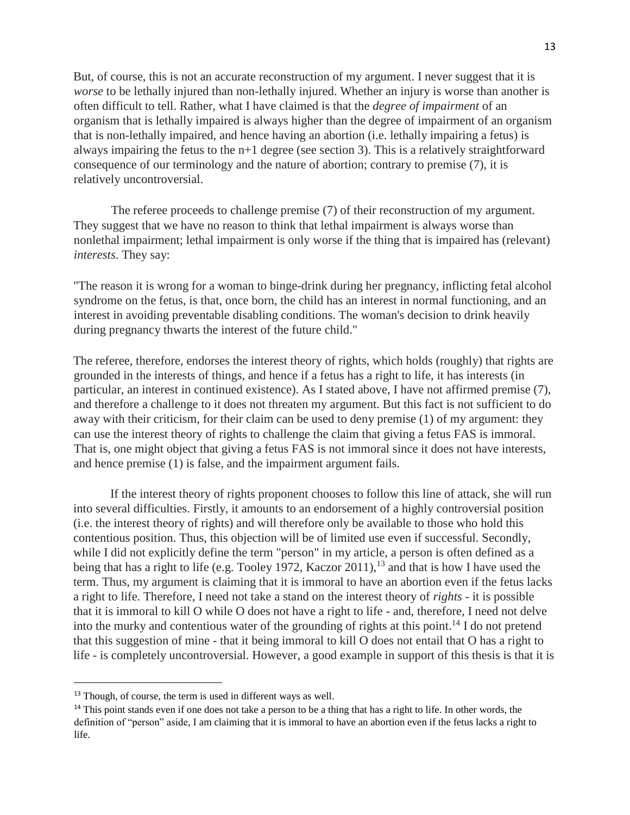But, of course, this is not an accurate reconstruction of my argument. I never suggest that it is *worse* to be lethally injured than non-lethally injured. Whether an injury is worse than another is often difficult to tell. Rather, what I have claimed is that the *degree of impairment* of an organism that is lethally impaired is always higher than the degree of impairment of an organism that is non-lethally impaired, and hence having an abortion (i.e. lethally impairing a fetus) is always impairing the fetus to the  $n+1$  degree (see section 3). This is a relatively straightforward consequence of our terminology and the nature of abortion; contrary to premise (7), it is relatively uncontroversial.

The referee proceeds to challenge premise (7) of their reconstruction of my argument. They suggest that we have no reason to think that lethal impairment is always worse than nonlethal impairment; lethal impairment is only worse if the thing that is impaired has (relevant) *interests*. They say:

"The reason it is wrong for a woman to binge-drink during her pregnancy, inflicting fetal alcohol syndrome on the fetus, is that, once born, the child has an interest in normal functioning, and an interest in avoiding preventable disabling conditions. The woman's decision to drink heavily during pregnancy thwarts the interest of the future child."

The referee, therefore, endorses the interest theory of rights, which holds (roughly) that rights are grounded in the interests of things, and hence if a fetus has a right to life, it has interests (in particular, an interest in continued existence). As I stated above, I have not affirmed premise (7), and therefore a challenge to it does not threaten my argument. But this fact is not sufficient to do away with their criticism, for their claim can be used to deny premise (1) of my argument: they can use the interest theory of rights to challenge the claim that giving a fetus FAS is immoral. That is, one might object that giving a fetus FAS is not immoral since it does not have interests, and hence premise (1) is false, and the impairment argument fails.

If the interest theory of rights proponent chooses to follow this line of attack, she will run into several difficulties. Firstly, it amounts to an endorsement of a highly controversial position (i.e. the interest theory of rights) and will therefore only be available to those who hold this contentious position. Thus, this objection will be of limited use even if successful. Secondly, while I did not explicitly define the term "person" in my article, a person is often defined as a being that has a right to life (e.g. Tooley 1972, Kaczor 2011), <sup>13</sup> and that is how I have used the term. Thus, my argument is claiming that it is immoral to have an abortion even if the fetus lacks a right to life. Therefore, I need not take a stand on the interest theory of *rights -* it is possible that it is immoral to kill O while O does not have a right to life - and, therefore, I need not delve into the murky and contentious water of the grounding of rights at this point.<sup>14</sup> I do not pretend that this suggestion of mine - that it being immoral to kill O does not entail that O has a right to life - is completely uncontroversial. However, a good example in support of this thesis is that it is

<sup>&</sup>lt;sup>13</sup> Though, of course, the term is used in different ways as well.

<sup>&</sup>lt;sup>14</sup> This point stands even if one does not take a person to be a thing that has a right to life. In other words, the definition of "person" aside, I am claiming that it is immoral to have an abortion even if the fetus lacks a right to life.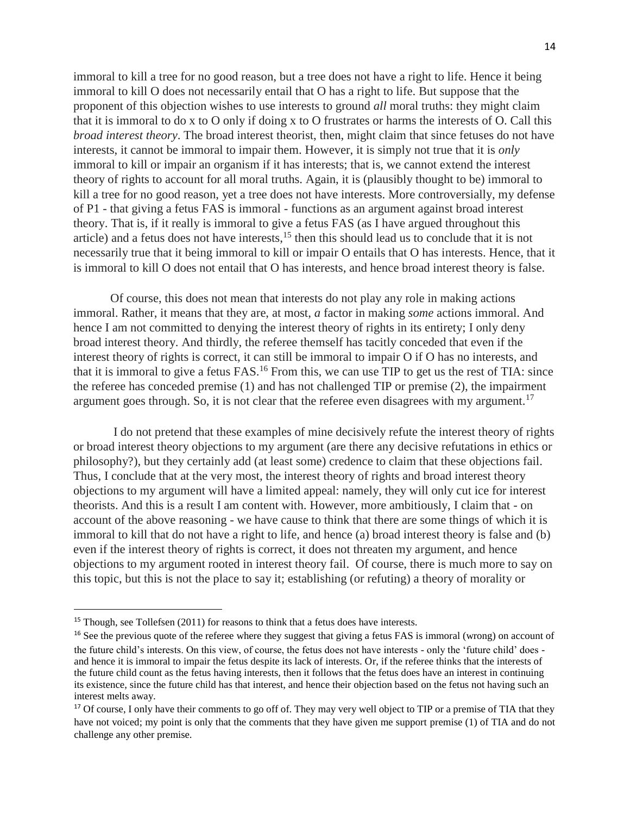immoral to kill a tree for no good reason, but a tree does not have a right to life. Hence it being immoral to kill O does not necessarily entail that O has a right to life. But suppose that the proponent of this objection wishes to use interests to ground *all* moral truths: they might claim that it is immoral to do x to O only if doing x to O frustrates or harms the interests of O. Call this *broad interest theory*. The broad interest theorist, then, might claim that since fetuses do not have interests, it cannot be immoral to impair them. However, it is simply not true that it is *only* immoral to kill or impair an organism if it has interests; that is, we cannot extend the interest theory of rights to account for all moral truths. Again, it is (plausibly thought to be) immoral to kill a tree for no good reason, yet a tree does not have interests. More controversially, my defense of P1 - that giving a fetus FAS is immoral - functions as an argument against broad interest theory. That is, if it really is immoral to give a fetus FAS (as I have argued throughout this article) and a fetus does not have interests,  $15$  then this should lead us to conclude that it is not necessarily true that it being immoral to kill or impair O entails that O has interests. Hence, that it is immoral to kill O does not entail that O has interests, and hence broad interest theory is false.

Of course, this does not mean that interests do not play any role in making actions immoral. Rather, it means that they are, at most, *a* factor in making *some* actions immoral. And hence I am not committed to denying the interest theory of rights in its entirety; I only deny broad interest theory. And thirdly, the referee themself has tacitly conceded that even if the interest theory of rights is correct, it can still be immoral to impair O if O has no interests, and that it is immoral to give a fetus FAS.<sup>16</sup> From this, we can use TIP to get us the rest of TIA: since the referee has conceded premise (1) and has not challenged TIP or premise (2), the impairment argument goes through. So, it is not clear that the referee even disagrees with my argument.<sup>17</sup>

I do not pretend that these examples of mine decisively refute the interest theory of rights or broad interest theory objections to my argument (are there any decisive refutations in ethics or philosophy?), but they certainly add (at least some) credence to claim that these objections fail. Thus, I conclude that at the very most, the interest theory of rights and broad interest theory objections to my argument will have a limited appeal: namely, they will only cut ice for interest theorists. And this is a result I am content with. However, more ambitiously, I claim that - on account of the above reasoning - we have cause to think that there are some things of which it is immoral to kill that do not have a right to life, and hence (a) broad interest theory is false and (b) even if the interest theory of rights is correct, it does not threaten my argument, and hence objections to my argument rooted in interest theory fail. Of course, there is much more to say on this topic, but this is not the place to say it; establishing (or refuting) a theory of morality or

<sup>&</sup>lt;sup>15</sup> Though, see Tollefsen (2011) for reasons to think that a fetus does have interests.

<sup>&</sup>lt;sup>16</sup> See the previous quote of the referee where they suggest that giving a fetus FAS is immoral (wrong) on account of the future child's interests. On this view, of course, the fetus does not have interests - only the 'future child' does and hence it is immoral to impair the fetus despite its lack of interests. Or, if the referee thinks that the interests of the future child count as the fetus having interests, then it follows that the fetus does have an interest in continuing its existence, since the future child has that interest, and hence their objection based on the fetus not having such an interest melts away.

<sup>&</sup>lt;sup>17</sup> Of course, I only have their comments to go off of. They may very well object to TIP or a premise of TIA that they have not voiced; my point is only that the comments that they have given me support premise (1) of TIA and do not challenge any other premise.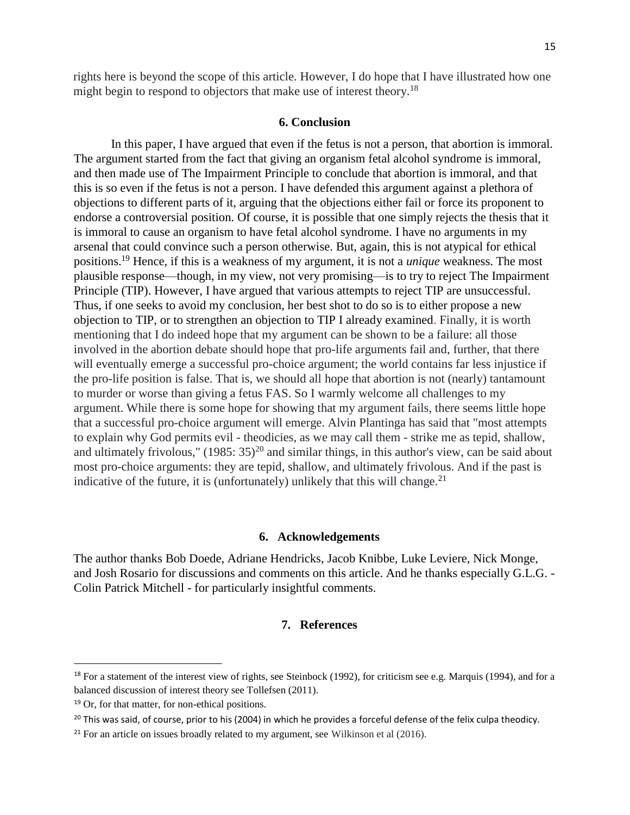rights here is beyond the scope of this article. However, I do hope that I have illustrated how one might begin to respond to objectors that make use of interest theory.<sup>18</sup>

#### **6. Conclusion**

In this paper, I have argued that even if the fetus is not a person, that abortion is immoral. The argument started from the fact that giving an organism fetal alcohol syndrome is immoral, and then made use of The Impairment Principle to conclude that abortion is immoral, and that this is so even if the fetus is not a person. I have defended this argument against a plethora of objections to different parts of it, arguing that the objections either fail or force its proponent to endorse a controversial position. Of course, it is possible that one simply rejects the thesis that it is immoral to cause an organism to have fetal alcohol syndrome. I have no arguments in my arsenal that could convince such a person otherwise. But, again, this is not atypical for ethical positions.<sup>19</sup> Hence, if this is a weakness of my argument, it is not a *unique* weakness. The most plausible response—though, in my view, not very promising—is to try to reject The Impairment Principle (TIP). However, I have argued that various attempts to reject TIP are unsuccessful. Thus, if one seeks to avoid my conclusion, her best shot to do so is to either propose a new objection to TIP, or to strengthen an objection to TIP I already examined. Finally, it is worth mentioning that I do indeed hope that my argument can be shown to be a failure: all those involved in the abortion debate should hope that pro-life arguments fail and, further, that there will eventually emerge a successful pro-choice argument; the world contains far less injustice if the pro-life position is false. That is, we should all hope that abortion is not (nearly) tantamount to murder or worse than giving a fetus FAS. So I warmly welcome all challenges to my argument. While there is some hope for showing that my argument fails, there seems little hope that a successful pro-choice argument will emerge. Alvin Plantinga has said that "most attempts to explain why God permits evil - theodicies, as we may call them - strike me as tepid, shallow, and ultimately frivolous,"  $(1985: 35)^{20}$  and similar things, in this author's view, can be said about most pro-choice arguments: they are tepid, shallow, and ultimately frivolous. And if the past is indicative of the future, it is (unfortunately) unlikely that this will change.<sup>21</sup>

### **6. Acknowledgements**

The author thanks Bob Doede, Adriane Hendricks, Jacob Knibbe, Luke Leviere, Nick Monge, and Josh Rosario for discussions and comments on this article. And he thanks especially G.L.G. - Colin Patrick Mitchell - for particularly insightful comments.

### **7. References**

<sup>&</sup>lt;sup>18</sup> For a statement of the interest view of rights, see Steinbock (1992), for criticism see e.g. Marquis (1994), and for a balanced discussion of interest theory see Tollefsen (2011).

<sup>&</sup>lt;sup>19</sup> Or, for that matter, for non-ethical positions.

<sup>&</sup>lt;sup>20</sup> This was said, of course, prior to his (2004) in which he provides a forceful defense of the felix culpa theodicy.

 $21$  For an article on issues broadly related to my argument, see Wilkinson et al (2016).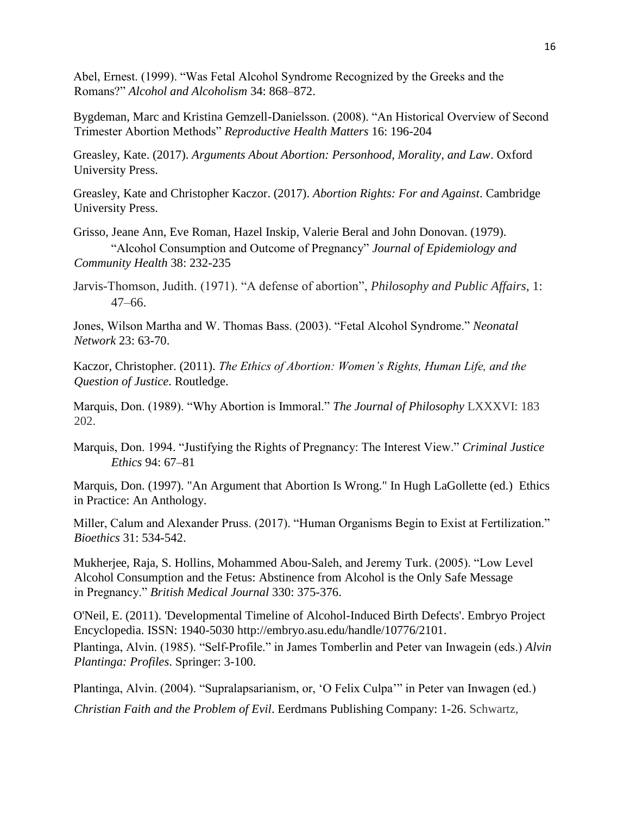Abel, Ernest. (1999). "Was Fetal Alcohol Syndrome Recognized by the Greeks and the Romans?" *Alcohol and Alcoholism* 34: 868–872.

Bygdeman, Marc and Kristina Gemzell-Danielsson. (2008). "An Historical Overview of Second Trimester Abortion Methods" *Reproductive Health Matters* 16: 196-204

Greasley, Kate. (2017). *Arguments About Abortion: Personhood, Morality, and Law*. Oxford University Press.

Greasley, Kate and Christopher Kaczor. (2017). *Abortion Rights: For and Against*. Cambridge University Press.

Grisso, Jeane Ann, Eve Roman, Hazel Inskip, Valerie Beral and John Donovan. (1979). "Alcohol Consumption and Outcome of Pregnancy" *Journal of Epidemiology and Community Health* 38: 232-235

Jarvis-Thomson, Judith. (1971). "A defense of abortion", *Philosophy and Public Affairs*, 1: 47–66.

Jones, Wilson Martha and W. Thomas Bass. (2003). "Fetal Alcohol Syndrome." *Neonatal Network* 23: 63-70.

Kaczor, Christopher. (2011). *The Ethics of Abortion: Women's Rights, Human Life, and the Question of Justice*. Routledge.

Marquis, Don. (1989). "Why Abortion is Immoral." *The Journal of Philosophy* LXXXVI: 183 202.

Marquis, Don. 1994. "Justifying the Rights of Pregnancy: The Interest View." *Criminal Justice Ethics* 94: 67–81

Marquis, Don. (1997). "An Argument that Abortion Is Wrong." In Hugh LaGollette (ed.) Ethics in Practice: An Anthology.

Miller, Calum and Alexander Pruss. (2017). "Human Organisms Begin to Exist at Fertilization." *Bioethics* 31: 534-542.

Mukherjee, Raja, S. Hollins, Mohammed Abou-Saleh, and Jeremy Turk. (2005). "Low Level Alcohol Consumption and the Fetus: Abstinence from Alcohol is the Only Safe Message in Pregnancy." *British Medical Journal* 330: 375-376.

O'Neil, E. (2011). 'Developmental Timeline of Alcohol-Induced Birth Defects'. Embryo Project Encyclopedia. ISSN: 1940-5030 http://embryo.asu.edu/handle/10776/2101. Plantinga, Alvin. (1985). "Self-Profile." in James Tomberlin and Peter van Inwagein (eds.) *Alvin Plantinga: Profiles*. Springer: 3-100.

Plantinga, Alvin. (2004). "Supralapsarianism, or, 'O Felix Culpa'" in Peter van Inwagen (ed.)

*Christian Faith and the Problem of Evil*. Eerdmans Publishing Company: 1-26. Schwartz,